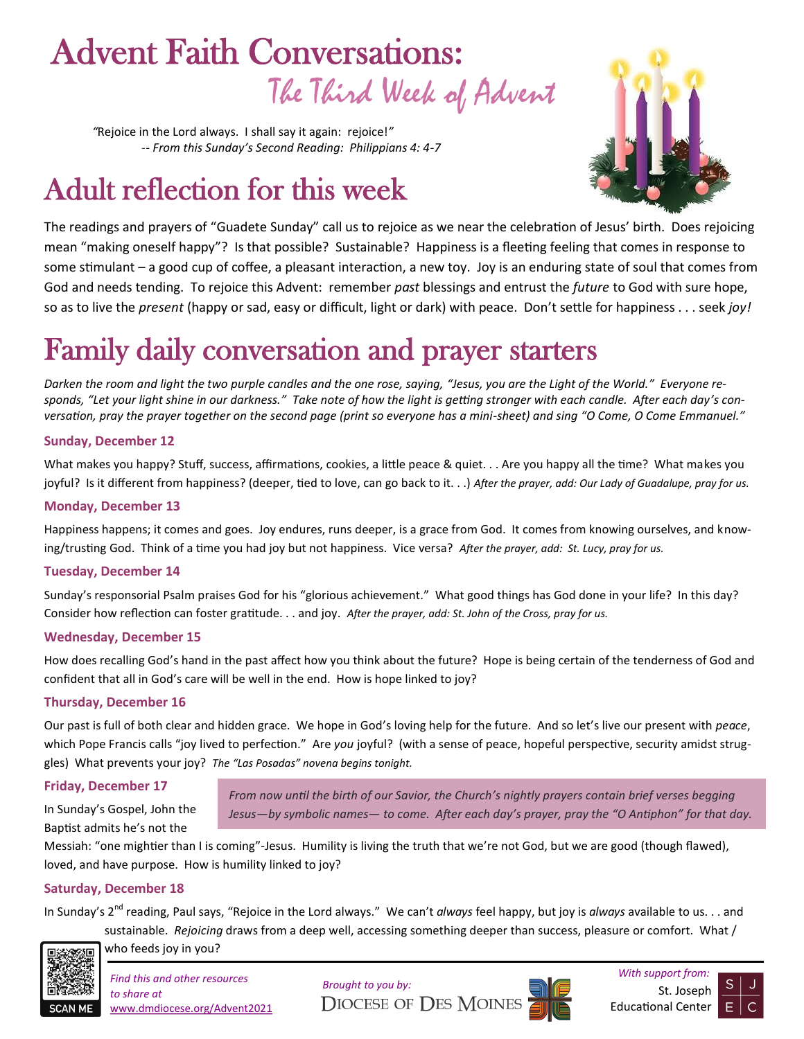# The Third Week of Advent Advent Faith Conversations:

*"*Rejoice in the Lord always. I shall say it again: rejoice!*" -- From this Sunday's Second Reading: Philippians 4: 4-7*

# Adult reflection for this week



The readings and prayers of "Guadete Sunday" call us to rejoice as we near the celebration of Jesus' birth. Does rejoicing mean "making oneself happy"? Is that possible? Sustainable? Happiness is a fleeting feeling that comes in response to some stimulant – a good cup of coffee, a pleasant interaction, a new toy. Joy is an enduring state of soul that comes from God and needs tending. To rejoice this Advent: remember *past* blessings and entrust the *future* to God with sure hope, so as to live the *present* (happy or sad, easy or difficult, light or dark) with peace. Don't settle for happiness . . . seek *joy!*

# Family daily conversation and prayer starters

*Darken the room and light the two purple candles and the one rose, saying, "Jesus, you are the Light of the World." Everyone responds, "Let your light shine in our darkness." Take note of how the light is getting stronger with each candle. After each day's conversation, pray the prayer together on the second page (print so everyone has a mini-sheet) and sing "O Come, O Come Emmanuel."* 

#### **Sunday, December 12**

What makes you happy? Stuff, success, affirmations, cookies, a little peace & quiet. . . Are you happy all the time? What makes you joyful? Is it different from happiness? (deeper, tied to love, can go back to it. . .) *After the prayer, add: Our Lady of Guadalupe, pray for us.*

#### **Monday, December 13**

Happiness happens; it comes and goes. Joy endures, runs deeper, is a grace from God. It comes from knowing ourselves, and knowing/trusting God. Think of a time you had joy but not happiness. Vice versa? *After the prayer, add: St. Lucy, pray for us.*

#### **Tuesday, December 14**

Sunday's responsorial Psalm praises God for his "glorious achievement." What good things has God done in your life? In this day? Consider how reflection can foster gratitude. . . and joy. *After the prayer, add: St. John of the Cross, pray for us.*

#### **Wednesday, December 15**

How does recalling God's hand in the past affect how you think about the future? Hope is being certain of the tenderness of God and confident that all in God's care will be well in the end. How is hope linked to joy?

#### **Thursday, December 16**

Our past is full of both clear and hidden grace. We hope in God's loving help for the future. And so let's live our present with *peace*, which Pope Francis calls "joy lived to perfection." Are *you* joyful? (with a sense of peace, hopeful perspective, security amidst struggles) What prevents your joy? *The "Las Posadas" novena begins tonight.*

#### **Friday, December 17**

In Sunday's Gospel, John the Baptist admits he's not the

*From now until the birth of our Savior, the Church's nightly prayers contain brief verses begging Jesus—by symbolic names— to come. After each day's prayer, pray the "O Antiphon" for that day.*

Messiah: "one mightier than I is coming"-Jesus. Humility is living the truth that we're not God, but we are good (though flawed), loved, and have purpose. How is humility linked to joy?

#### **Saturday, December 18**

In Sunday's 2<sup>nd</sup> reading, Paul says, "Rejoice in the Lord always." We can't *always* feel happy, but joy is *always* available to us. . . and sustainable. *Rejoicing* draws from a deep well, accessing something deeper than success, pleasure or comfort. What /



who feeds joy in you?

*to share at*  www.dmdiocese.org/Advent2021





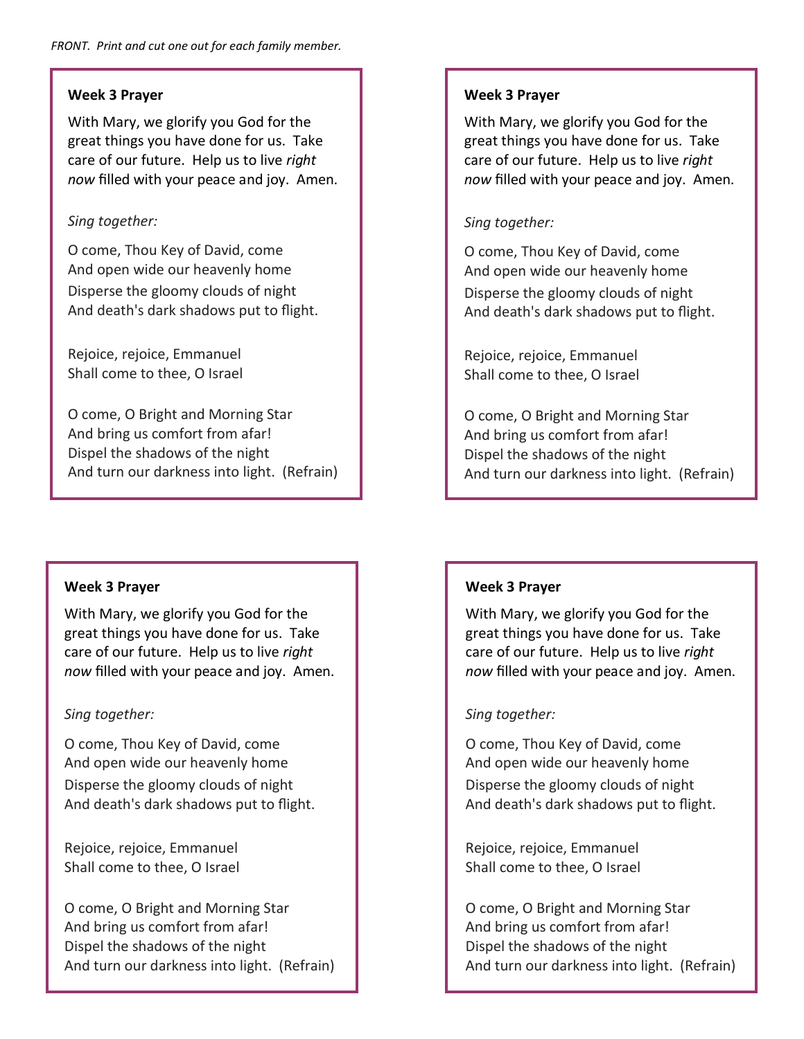# **Week 3 Prayer**

With Mary, we glorify you God for the great things you have done for us. Take care of our future. Help us to live *right now* filled with your peace and joy. Amen.

# *Sing together:*

O come, Thou Key of David, come And open wide our heavenly home Disperse the gloomy clouds of night And death's dark shadows put to flight.

Rejoice, rejoice, Emmanuel Shall come to thee, O Israel

O come, O Bright and Morning Star And bring us comfort from afar! Dispel the shadows of the night And turn our darkness into light. (Refrain)

# **Week 3 Prayer**

With Mary, we glorify you God for the great things you have done for us. Take care of our future. Help us to live *right now* filled with your peace and joy. Amen.

# *Sing together:*

O come, Thou Key of David, come And open wide our heavenly home Disperse the gloomy clouds of night And death's dark shadows put to flight.

Rejoice, rejoice, Emmanuel Shall come to thee, O Israel

O come, O Bright and Morning Star And bring us comfort from afar! Dispel the shadows of the night And turn our darkness into light. (Refrain)

# **Week 3 Prayer**

With Mary, we glorify you God for the great things you have done for us. Take care of our future. Help us to live *right now* filled with your peace and joy. Amen.

# *Sing together:*

O come, Thou Key of David, come And open wide our heavenly home Disperse the gloomy clouds of night And death's dark shadows put to flight.

Rejoice, rejoice, Emmanuel Shall come to thee, O Israel

O come, O Bright and Morning Star And bring us comfort from afar! Dispel the shadows of the night And turn our darkness into light. (Refrain)

# **Week 3 Prayer**

With Mary, we glorify you God for the great things you have done for us. Take care of our future. Help us to live *right now* filled with your peace and joy. Amen.

# *Sing together:*

O come, Thou Key of David, come And open wide our heavenly home Disperse the gloomy clouds of night And death's dark shadows put to flight.

Rejoice, rejoice, Emmanuel Shall come to thee, O Israel

O come, O Bright and Morning Star And bring us comfort from afar! Dispel the shadows of the night And turn our darkness into light. (Refrain)